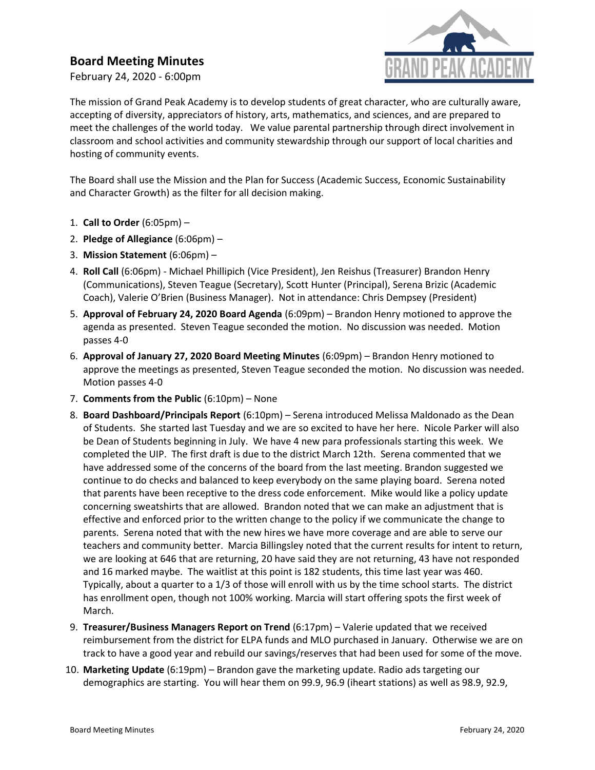# Board Meeting Minutes

February 24, 2020 - 6:00pm



The mission of Grand Peak Academy is to develop students of great character, who are culturally aware, accepting of diversity, appreciators of history, arts, mathematics, and sciences, and are prepared to meet the challenges of the world today. We value parental partnership through direct involvement in classroom and school activities and community stewardship through our support of local charities and hosting of community events.

The Board shall use the Mission and the Plan for Success (Academic Success, Economic Sustainability and Character Growth) as the filter for all decision making.

- 1. Call to Order (6:05pm) –
- 2. Pledge of Allegiance (6:06pm) –
- 3. Mission Statement (6:06pm) –
- 4. Roll Call (6:06pm) Michael Phillipich (Vice President), Jen Reishus (Treasurer) Brandon Henry (Communications), Steven Teague (Secretary), Scott Hunter (Principal), Serena Brizic (Academic Coach), Valerie O'Brien (Business Manager). Not in attendance: Chris Dempsey (President)
- 5. Approval of February 24, 2020 Board Agenda (6:09pm) Brandon Henry motioned to approve the agenda as presented. Steven Teague seconded the motion. No discussion was needed. Motion passes 4-0
- 6. Approval of January 27, 2020 Board Meeting Minutes (6:09pm) Brandon Henry motioned to approve the meetings as presented, Steven Teague seconded the motion. No discussion was needed. Motion passes 4-0
- 7. Comments from the Public (6:10pm) None
- 8. Board Dashboard/Principals Report (6:10pm) Serena introduced Melissa Maldonado as the Dean of Students. She started last Tuesday and we are so excited to have her here. Nicole Parker will also be Dean of Students beginning in July. We have 4 new para professionals starting this week. We completed the UIP. The first draft is due to the district March 12th. Serena commented that we have addressed some of the concerns of the board from the last meeting. Brandon suggested we continue to do checks and balanced to keep everybody on the same playing board. Serena noted that parents have been receptive to the dress code enforcement. Mike would like a policy update concerning sweatshirts that are allowed. Brandon noted that we can make an adjustment that is effective and enforced prior to the written change to the policy if we communicate the change to parents. Serena noted that with the new hires we have more coverage and are able to serve our teachers and community better. Marcia Billingsley noted that the current results for intent to return, we are looking at 646 that are returning, 20 have said they are not returning, 43 have not responded and 16 marked maybe. The waitlist at this point is 182 students, this time last year was 460. Typically, about a quarter to a 1/3 of those will enroll with us by the time school starts. The district has enrollment open, though not 100% working. Marcia will start offering spots the first week of March.
- 9. Treasurer/Business Managers Report on Trend (6:17pm) Valerie updated that we received reimbursement from the district for ELPA funds and MLO purchased in January. Otherwise we are on track to have a good year and rebuild our savings/reserves that had been used for some of the move.
- 10. Marketing Update (6:19pm) Brandon gave the marketing update. Radio ads targeting our demographics are starting. You will hear them on 99.9, 96.9 (iheart stations) as well as 98.9, 92.9,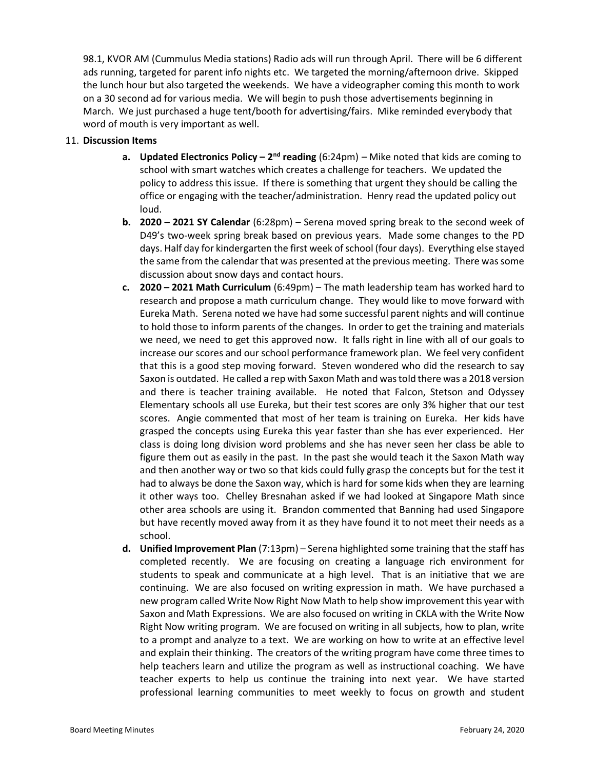98.1, KVOR AM (Cummulus Media stations) Radio ads will run through April. There will be 6 different ads running, targeted for parent info nights etc. We targeted the morning/afternoon drive. Skipped the lunch hour but also targeted the weekends. We have a videographer coming this month to work on a 30 second ad for various media. We will begin to push those advertisements beginning in March. We just purchased a huge tent/booth for advertising/fairs. Mike reminded everybody that word of mouth is very important as well.

## 11. Discussion Items

- a. Updated Electronics Policy  $2^{nd}$  reading (6:24pm) Mike noted that kids are coming to school with smart watches which creates a challenge for teachers. We updated the policy to address this issue. If there is something that urgent they should be calling the office or engaging with the teacher/administration. Henry read the updated policy out loud.
- **b.** 2020 2021 SY Calendar  $(6:28pm)$  Serena moved spring break to the second week of D49's two-week spring break based on previous years. Made some changes to the PD days. Half day for kindergarten the first week of school (four days). Everything else stayed the same from the calendar that was presented at the previous meeting. There was some discussion about snow days and contact hours.
- c.  $2020 2021$  Math Curriculum  $(6:49 \text{pm}) -$  The math leadership team has worked hard to research and propose a math curriculum change. They would like to move forward with Eureka Math. Serena noted we have had some successful parent nights and will continue to hold those to inform parents of the changes. In order to get the training and materials we need, we need to get this approved now. It falls right in line with all of our goals to increase our scores and our school performance framework plan. We feel very confident that this is a good step moving forward. Steven wondered who did the research to say Saxon is outdated. He called a rep with Saxon Math and was told there was a 2018 version and there is teacher training available. He noted that Falcon, Stetson and Odyssey Elementary schools all use Eureka, but their test scores are only 3% higher that our test scores. Angie commented that most of her team is training on Eureka. Her kids have grasped the concepts using Eureka this year faster than she has ever experienced. Her class is doing long division word problems and she has never seen her class be able to figure them out as easily in the past. In the past she would teach it the Saxon Math way and then another way or two so that kids could fully grasp the concepts but for the test it had to always be done the Saxon way, which is hard for some kids when they are learning it other ways too. Chelley Bresnahan asked if we had looked at Singapore Math since other area schools are using it. Brandon commented that Banning had used Singapore but have recently moved away from it as they have found it to not meet their needs as a school.
- d. Unified Improvement Plan (7:13pm) Serena highlighted some training that the staff has completed recently. We are focusing on creating a language rich environment for students to speak and communicate at a high level. That is an initiative that we are continuing. We are also focused on writing expression in math. We have purchased a new program called Write Now Right Now Math to help show improvement this year with Saxon and Math Expressions. We are also focused on writing in CKLA with the Write Now Right Now writing program. We are focused on writing in all subjects, how to plan, write to a prompt and analyze to a text. We are working on how to write at an effective level and explain their thinking. The creators of the writing program have come three times to help teachers learn and utilize the program as well as instructional coaching. We have teacher experts to help us continue the training into next year. We have started professional learning communities to meet weekly to focus on growth and student